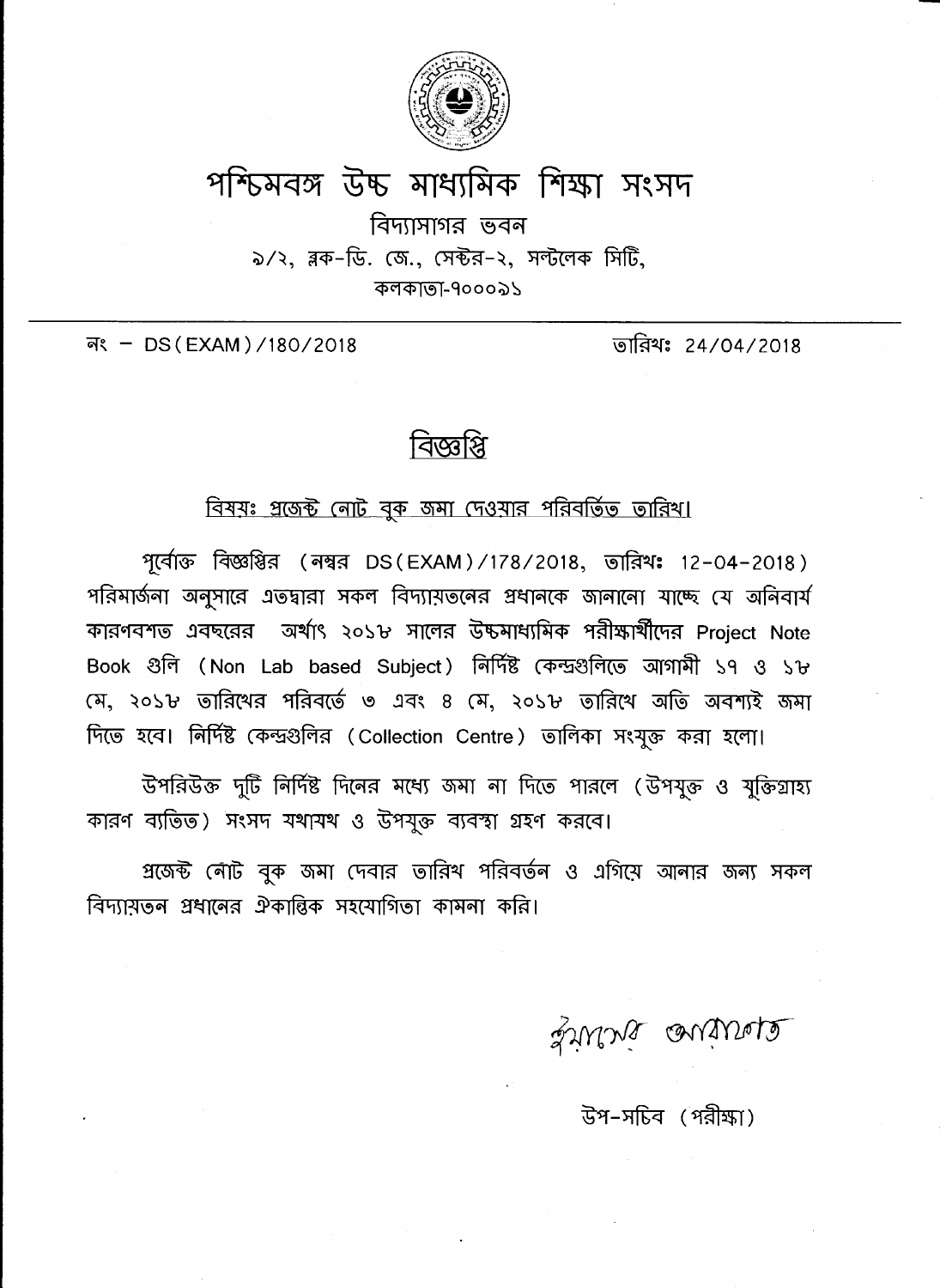

## পশ্চিমবঙ্গ উচ্চ মাধ্যমিক শিক্ষা সংসদ

বিদ্যাসাগর ভবন ৯/২, ব্লক-ডি. জে., সেক্টর-২, সল্টলেক সিটি, কলকাতা-৭০০০৯১

নং - DS (EXAM) /180/2018

তারিথঃ 24/04/2018

## বিজ্ঞপ্নি

## বিষয়ঃ প্রজেক্ট নোট বুক জমা দেওয়ার পরিবর্তিত তারিখ।

পূর্বোক্ত বিজ্ঞপ্তির (নম্বর DS(EXAM)/178/2018, তারিখঃ 12-04-2018) পরিমার্জনা অনুসারে এতদ্বারা সকল বিদ্যায়তনের প্রধানকে জানানো যাচ্ছে যে অনিবার্য কারণবশত এবছরের অর্থাৎ ২০১৮ সালের উচ্চমাধ্যমিক পরীক্ষার্থীদের Proiect Note Book গুলি (Non Lab based Subject) নিৰ্দিষ্ট কেন্দ্ৰগুলিতে আগামী ১৭ ও ১৮ মে, ২০১৮ তারিখের পরিবর্তে ৩ এবং ৪ মে, ২০১৮ তারিখে অতি অবশ্যই জমা দিতে হবে। নির্দিষ্ট কেন্দ্রগুলির (Collection Centre) তালিকা সংযুক্ত করা হলো।

উপরিউক্ত দুটি নির্দিষ্ট দিনের মধ্যে জমা না দিতে পারলে (উপযুক্ত ও যুক্তিগ্রাহ্য কারণ ব্যতিত) সংসদ যথাযথ ও উপযুক্ত ব্যবস্থা গ্রহণ করবে।

প্রজেক্ট নৌট বুক জমা দেবার তারিখ পরিবর্তন ও এগিয়ে আনার জন্য সকল বিদ্যায়তন প্রধানের ঐকান্তিক সহযোগিতা কামনা করি।

Little anitrale

উপ-সচিব (পরীক্ষা)